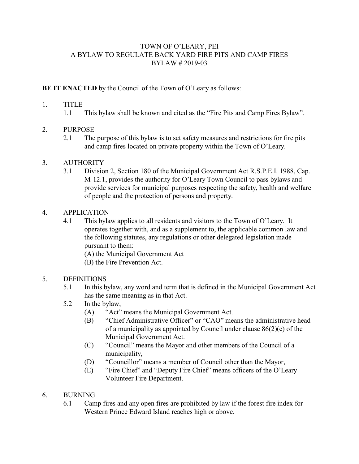## TOWN OF O'LEARY, PEI A BYLAW TO REGULATE BACK YARD FIRE PITS AND CAMP FIRES BYLAW # 2019-03

## **BE IT ENACTED** by the Council of the Town of O'Leary as follows:

#### 1. TITLE

1.1 This bylaw shall be known and cited as the "Fire Pits and Camp Fires Bylaw".

### 2. PURPOSE

2.1 The purpose of this bylaw is to set safety measures and restrictions for fire pits and camp fires located on private property within the Town of O'Leary.

### 3. AUTHORITY

3.1 Division 2, Section 180 of the Municipal Government Act R.S.P.E.I. 1988, Cap. M-12.1, provides the authority for O'Leary Town Council to pass bylaws and provide services for municipal purposes respecting the safety, health and welfare of people and the protection of persons and property.

#### 4. APPLICATION

4.1 This bylaw applies to all residents and visitors to the Town of O'Leary. It operates together with, and as a supplement to, the applicable common law and the following statutes, any regulations or other delegated legislation made pursuant to them:

(A) the Municipal Government Act

(B) the Fire Prevention Act.

### 5. DEFINITIONS

5.1 In this bylaw, any word and term that is defined in the Municipal Government Act has the same meaning as in that Act.

### 5.2 In the bylaw,

- (A) "Act" means the Municipal Government Act.
- (B) "Chief Administrative Officer" or "CAO" means the administrative head of a municipality as appointed by Council under clause  $86(2)(c)$  of the Municipal Government Act.
- (C) "Council" means the Mayor and other members of the Council of a municipality,
- (D) "Councillor" means a member of Council other than the Mayor,
- (E) "Fire Chief" and "Deputy Fire Chief" means officers of the O'Leary Volunteer Fire Department.

### 6. BURNING

6.1 Camp fires and any open fires are prohibited by law if the forest fire index for Western Prince Edward Island reaches high or above.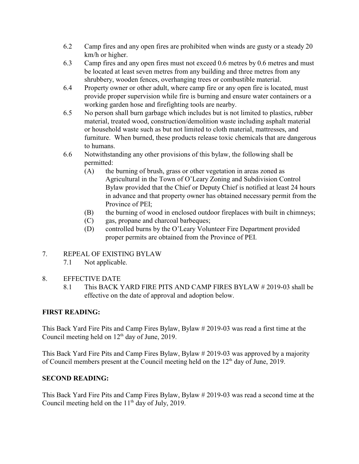- 6.2 Camp fires and any open fires are prohibited when winds are gusty or a steady 20 km/h or higher.
- 6.3 Camp fires and any open fires must not exceed 0.6 metres by 0.6 metres and must be located at least seven metres from any building and three metres from any shrubbery, wooden fences, overhanging trees or combustible material.
- 6.4 Property owner or other adult, where camp fire or any open fire is located, must provide proper supervision while fire is burning and ensure water containers or a working garden hose and firefighting tools are nearby.
- 6.5 No person shall burn garbage which includes but is not limited to plastics, rubber material, treated wood, construction/demolition waste including asphalt material or household waste such as but not limited to cloth material, mattresses, and furniture. When burned, these products release toxic chemicals that are dangerous to humans.
- 6.6 Notwithstanding any other provisions of this bylaw, the following shall be permitted:
	- (A) the burning of brush, grass or other vegetation in areas zoned as Agricultural in the Town of O'Leary Zoning and Subdivision Control Bylaw provided that the Chief or Deputy Chief is notified at least 24 hours in advance and that property owner has obtained necessary permit from the Province of PEI;
	- (B) the burning of wood in enclosed outdoor fireplaces with built in chimneys;
	- (C) gas, propane and charcoal barbeques;
	- (D) controlled burns by the O'Leary Volunteer Fire Department provided proper permits are obtained from the Province of PEI.
- 7. REPEAL OF EXISTING BYLAW
	- 7.1 Not applicable.
- 8. EFFECTIVE DATE
	- 8.1 This BACK YARD FIRE PITS AND CAMP FIRES BYLAW # 2019-03 shall be effective on the date of approval and adoption below.

# **FIRST READING:**

This Back Yard Fire Pits and Camp Fires Bylaw, Bylaw # 2019-03 was read a first time at the Council meeting held on  $12<sup>th</sup>$  day of June, 2019.

This Back Yard Fire Pits and Camp Fires Bylaw, Bylaw # 2019-03 was approved by a majority of Council members present at the Council meeting held on the  $12<sup>th</sup>$  day of June, 2019.

# **SECOND READING:**

This Back Yard Fire Pits and Camp Fires Bylaw, Bylaw # 2019-03 was read a second time at the Council meeting held on the  $11<sup>th</sup>$  day of July, 2019.